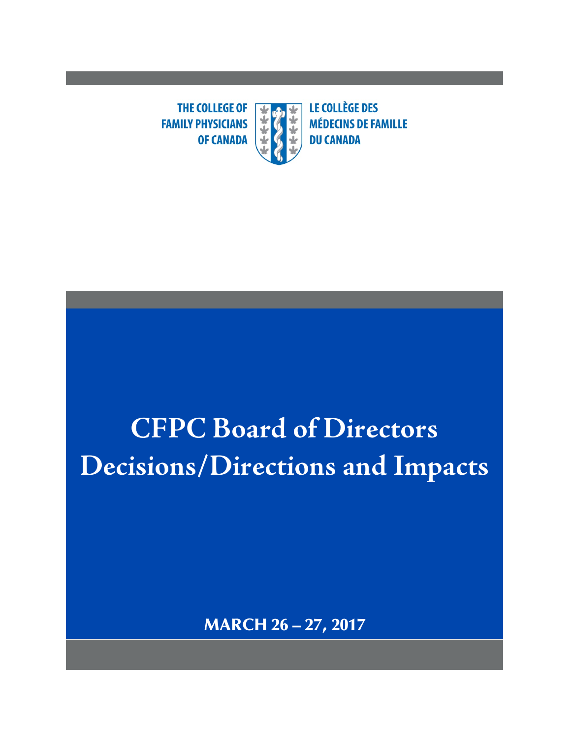**THE COLLEGE OF**  $\overline{\textbf{r}}$ **FAMILY PHYSICIANS OF CANADA** 

**LE COLLÈGE DES MÉDECINS DE FAMILLE DU CANADA** 

# **CFPC Board of Directors Decisions/Directions and Impacts**

MARCH 26 – 27, 2017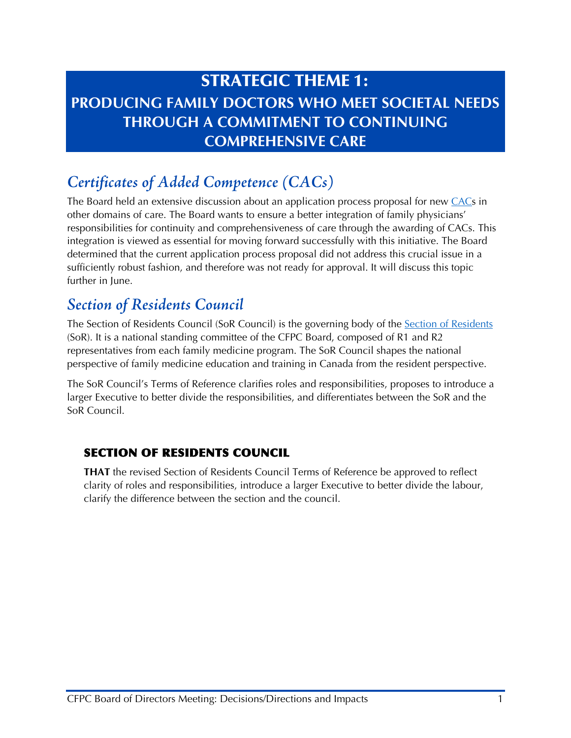## STRATEGIC THEME 1: **PRODUCING FAMILY DOCTORS WHO MEET SOCIETAL NEEDS THROUGH A COMMITMENT TO CONTINUING COMPREHENSIVE CARE**

## *Certificates of Added Competence (CACs)*

The Board held an extensive discussion about an application process proposal for new [CACs](http://www.cfpc.ca/CAC/) in other domains of care. The Board wants to ensure a better integration of family physicians' responsibilities for continuity and comprehensiveness of care through the awarding of CACs. This integration is viewed as essential for moving forward successfully with this initiative. The Board determined that the current application process proposal did not address this crucial issue in a sufficiently robust fashion, and therefore was not ready for approval. It will discuss this topic further in June.

#### *Section of Residents Council*

The [Section of Residents](http://www.cfpc.ca/SectionofResidents/) Council (SoR Council) is the governing body of the Section of Residents (SoR). It is a national standing committee of the CFPC Board, composed of R1 and R2 representatives from each family medicine program. The SoR Council shapes the national perspective of family medicine education and training in Canada from the resident perspective.

The SoR Council's Terms of Reference clarifies roles and responsibilities, proposes to introduce a larger Executive to better divide the responsibilities, and differentiates between the SoR and the SoR Council.

#### SECTION OF RESIDENTS COUNCIL

**THAT** the revised Section of Residents Council Terms of Reference be approved to reflect clarity of roles and responsibilities, introduce a larger Executive to better divide the labour, clarify the difference between the section and the council.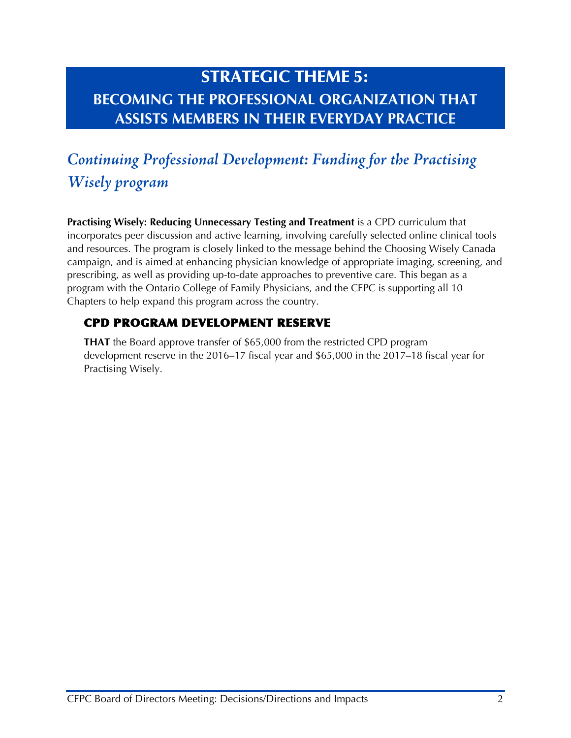## STRATEGIC THEME 5: **BECOMING THE PROFESSIONAL ORGANIZATION THAT ASSISTS MEMBERS IN THEIR EVERYDAY PRACTICE**

# *Continuing Professional Development: Funding for the Practising Wisely program*

**Practising Wisely: Reducing Unnecessary Testing and Treatment** is a CPD curriculum that incorporates peer discussion and active learning, involving carefully selected online clinical tools and resources. The program is closely linked to the message behind the Choosing Wisely Canada campaign, and is aimed at enhancing physician knowledge of appropriate imaging, screening, and prescribing, as well as providing up-to-date approaches to preventive care. This began as a program with the Ontario College of Family Physicians, and the CFPC is supporting all 10 Chapters to help expand this program across the country.

#### CPD PROGRAM DEVELOPMENT RESERVE

**THAT** the Board approve transfer of \$65,000 from the restricted CPD program development reserve in the 2016–17 fiscal year and \$65,000 in the 2017–18 fiscal year for Practising Wisely.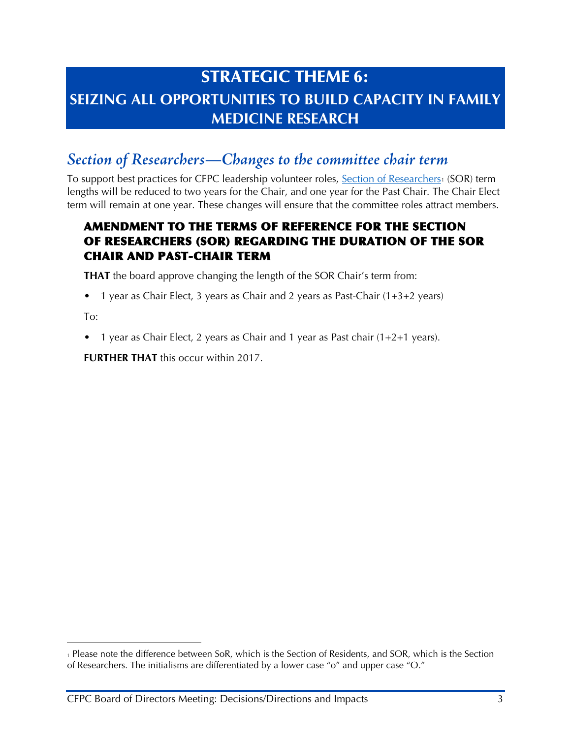## STRATEGIC THEME 6: **SEIZING ALL OPPORTUNITIES TO BUILD CAPACITY IN FAMILY MEDICINE RESEARCH**

### *Section of Researchers—Changes to the committee chair term*

To support best practices for CFPC leadership volunteer roles, [Section of Researchers](http://www.cfpc.ca/SectionofResearchers/)[1](#page-3-0) (SOR) term lengths will be reduced to two years for the Chair, and one year for the Past Chair. The Chair Elect term will remain at one year. These changes will ensure that the committee roles attract members.

#### AMENDMENT TO THE TERMS OF REFERENCE FOR THE SECTION OF RESEARCHERS (SOR) REGARDING THE DURATION OF THE SOR CHAIR AND PAST-CHAIR TERM

**THAT** the board approve changing the length of the SOR Chair's term from:

• 1 year as Chair Elect, 3 years as Chair and 2 years as Past-Chair (1+3+2 years)

To:

• 1 year as Chair Elect, 2 years as Chair and 1 year as Past chair (1+2+1 years).

**FURTHER THAT** this occur within 2017.

<span id="page-3-0"></span><sup>1</sup> Please note the difference between SoR, which is the Section of Residents, and SOR, which is the Section of Researchers. The initialisms are differentiated by a lower case "o" and upper case "O."